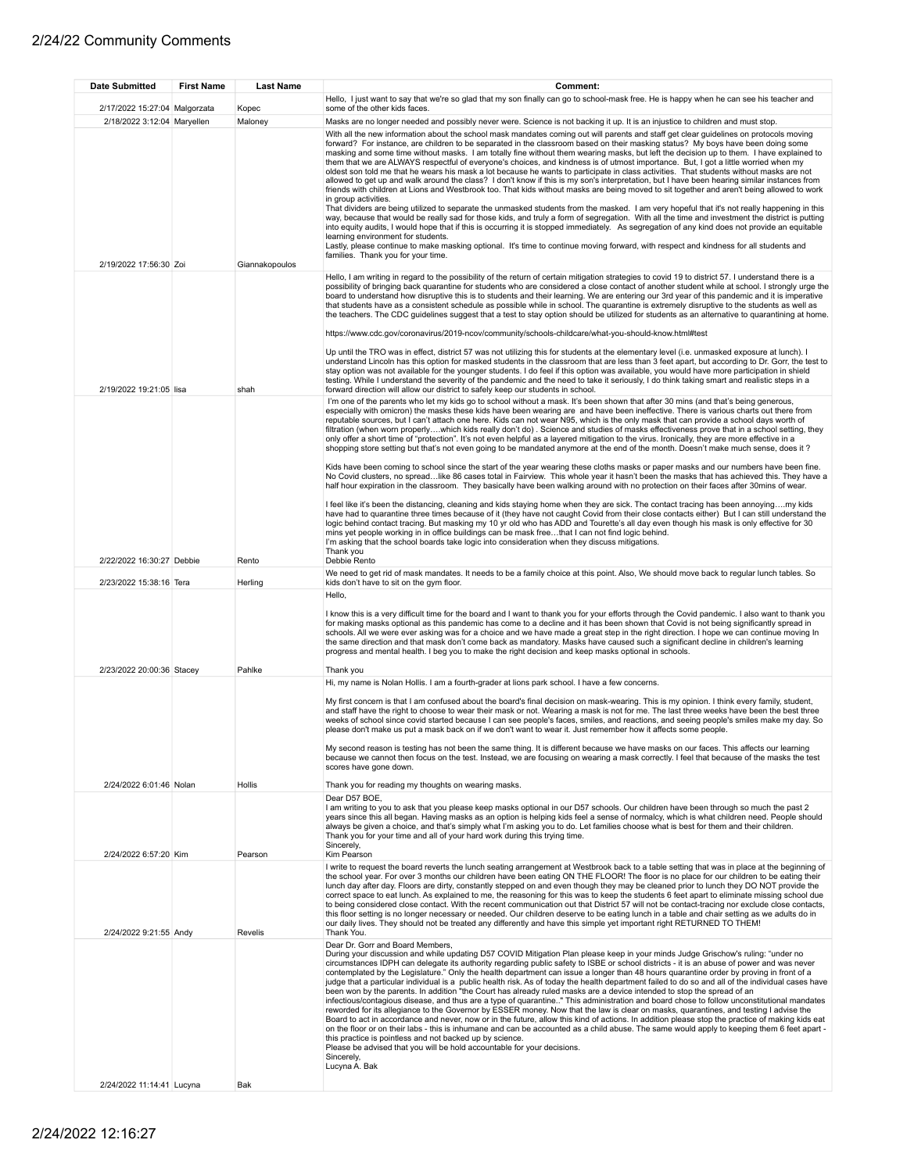| <b>Date Submitted</b>         | <b>First Name</b> | <b>Last Name</b> | Comment:                                                                                                                                                                                                                                                                                                                                                                                                                                                                                                                                                                                                                                                                                                                                                                                                                                                                                                                                                                                                                                                                                                                                                                                                                                                                                                                                                                                                                                                                                                                                                                                                                                                      |
|-------------------------------|-------------------|------------------|---------------------------------------------------------------------------------------------------------------------------------------------------------------------------------------------------------------------------------------------------------------------------------------------------------------------------------------------------------------------------------------------------------------------------------------------------------------------------------------------------------------------------------------------------------------------------------------------------------------------------------------------------------------------------------------------------------------------------------------------------------------------------------------------------------------------------------------------------------------------------------------------------------------------------------------------------------------------------------------------------------------------------------------------------------------------------------------------------------------------------------------------------------------------------------------------------------------------------------------------------------------------------------------------------------------------------------------------------------------------------------------------------------------------------------------------------------------------------------------------------------------------------------------------------------------------------------------------------------------------------------------------------------------|
| 2/17/2022 15:27:04 Malgorzata |                   |                  | Hello, I just want to say that we're so glad that my son finally can go to school-mask free. He is happy when he can see his teacher and<br>some of the other kids faces.                                                                                                                                                                                                                                                                                                                                                                                                                                                                                                                                                                                                                                                                                                                                                                                                                                                                                                                                                                                                                                                                                                                                                                                                                                                                                                                                                                                                                                                                                     |
| 2/18/2022 3:12:04 Maryellen   |                   | Kopec<br>Maloney | Masks are no longer needed and possibly never were. Science is not backing it up. It is an injustice to children and must stop.<br>With all the new information about the school mask mandates coming out will parents and staff get clear guidelines on protocols moving<br>forward? For instance, are children to be separated in the classroom based on their masking status? My boys have been doing some<br>masking and some time without masks. I am totally fine without them wearing masks, but left the decision up to them. I have explained to<br>them that we are ALWAYS respectful of everyone's choices, and kindness is of utmost importance. But, I got a little worried when my<br>oldest son told me that he wears his mask a lot because he wants to participate in class activities. That students without masks are not<br>allowed to get up and walk around the class? I don't know if this is my son's interpretation, but I have been hearing similar instances from<br>friends with children at Lions and Westbrook too. That kids without masks are being moved to sit together and aren't being allowed to work<br>in group activities.<br>That dividers are being utilized to separate the unmasked students from the masked. I am very hopeful that it's not really happening in this<br>way, because that would be really sad for those kids, and truly a form of segregation. With all the time and investment the district is putting<br>into equity audits, I would hope that if this is occurring it is stopped immediately. As segregation of any kind does not provide an equitable<br>learning environment for students. |
|                               |                   |                  | Lastly, please continue to make masking optional. It's time to continue moving forward, with respect and kindness for all students and<br>families. Thank you for your time.                                                                                                                                                                                                                                                                                                                                                                                                                                                                                                                                                                                                                                                                                                                                                                                                                                                                                                                                                                                                                                                                                                                                                                                                                                                                                                                                                                                                                                                                                  |
| 2/19/2022 17:56:30 Zoi        |                   | Giannakopoulos   | Hello, I am writing in regard to the possibility of the return of certain mitigation strategies to covid 19 to district 57. I understand there is a<br>possibility of bringing back quarantine for students who are considered a close contact of another student while at school. I strongly urge the<br>board to understand how disruptive this is to students and their learning. We are entering our 3rd year of this pandemic and it is imperative<br>that students have as a consistent schedule as possible while in school. The quarantine is extremely disruptive to the students as well as<br>the teachers. The CDC guidelines suggest that a test to stay option should be utilized for students as an alternative to quarantining at home.<br>https://www.cdc.gov/coronavirus/2019-ncov/community/schools-childcare/what-you-should-know.html#test<br>Up until the TRO was in effect, district 57 was not utilizing this for students at the elementary level (i.e. unmasked exposure at lunch). I<br>understand Lincoln has this option for masked students in the classroom that are less than 3 feet apart, but according to Dr. Gorr, the test to<br>stay option was not available for the younger students. I do feel if this option was available, you would have more participation in shield<br>testing. While I understand the severity of the pandemic and the need to take it seriously, I do think taking smart and realistic steps in a                                                                                                                                                                                             |
| 2/19/2022 19:21:05 lisa       |                   | shah             | forward direction will allow our district to safely keep our students in school.                                                                                                                                                                                                                                                                                                                                                                                                                                                                                                                                                                                                                                                                                                                                                                                                                                                                                                                                                                                                                                                                                                                                                                                                                                                                                                                                                                                                                                                                                                                                                                              |
|                               |                   |                  | I'm one of the parents who let my kids go to school without a mask. It's been shown that after 30 mins (and that's being generous,<br>especially with omicron) the masks these kids have been wearing are and have been ineffective. There is various charts out there from<br>reputable sources, but I can't attach one here. Kids can not wear N95, which is the only mask that can provide a school days worth of<br>filtration (when worn properlywhich kids really don't do). Science and studies of masks effectiveness prove that in a school setting, they<br>only offer a short time of "protection". It's not even helpful as a layered mitigation to the virus. Ironically, they are more effective in a<br>shopping store setting but that's not even going to be mandated anymore at the end of the month. Doesn't make much sense, does it?                                                                                                                                                                                                                                                                                                                                                                                                                                                                                                                                                                                                                                                                                                                                                                                                     |
|                               |                   |                  | Kids have been coming to school since the start of the year wearing these cloths masks or paper masks and our numbers have been fine.<br>No Covid clusters, no spreadlike 86 cases total in Fairview. This whole year it hasn't been the masks that has achieved this. They have a<br>half hour expiration in the classroom. They basically have been walking around with no protection on their faces after 30mins of wear.                                                                                                                                                                                                                                                                                                                                                                                                                                                                                                                                                                                                                                                                                                                                                                                                                                                                                                                                                                                                                                                                                                                                                                                                                                  |
|                               |                   |                  | I feel like it's been the distancing, cleaning and kids staying home when they are sick. The contact tracing has been annoyingmy kids<br>have had to quarantine three times because of it (they have not caught Covid from their close contacts either) But I can still understand the<br>logic behind contact tracing. But masking my 10 yr old who has ADD and Tourette's all day even though his mask is only effective for 30<br>mins yet people working in in office buildings can be mask freethat I can not find logic behind.<br>I'm asking that the school boards take logic into consideration when they discuss mitigations.<br>Thank you                                                                                                                                                                                                                                                                                                                                                                                                                                                                                                                                                                                                                                                                                                                                                                                                                                                                                                                                                                                                          |
| 2/22/2022 16:30:27 Debbie     |                   | Rento            | Debbie Rento                                                                                                                                                                                                                                                                                                                                                                                                                                                                                                                                                                                                                                                                                                                                                                                                                                                                                                                                                                                                                                                                                                                                                                                                                                                                                                                                                                                                                                                                                                                                                                                                                                                  |
| 2/23/2022 15:38:16 Tera       |                   | Herling          | We need to get rid of mask mandates. It needs to be a family choice at this point. Also, We should move back to regular lunch tables. So<br>kids don't have to sit on the gym floor.                                                                                                                                                                                                                                                                                                                                                                                                                                                                                                                                                                                                                                                                                                                                                                                                                                                                                                                                                                                                                                                                                                                                                                                                                                                                                                                                                                                                                                                                          |
| 2/23/2022 20:00:36 Stacey     |                   | Pahlke           | Hello,<br>I know this is a very difficult time for the board and I want to thank you for your efforts through the Covid pandemic. I also want to thank you<br>for making masks optional as this pandemic has come to a decline and it has been shown that Covid is not being significantly spread in<br>schools. All we were ever asking was for a choice and we have made a great step in the right direction. I hope we can continue moving In<br>the same direction and that mask don't come back as mandatory. Masks have caused such a significant decline in children's learning<br>progress and mental health. I beg you to make the right decision and keep masks optional in schools.<br>Thank you                                                                                                                                                                                                                                                                                                                                                                                                                                                                                                                                                                                                                                                                                                                                                                                                                                                                                                                                                   |
|                               |                   |                  | Hi, my name is Nolan Hollis. I am a fourth-grader at lions park school. I have a few concerns.                                                                                                                                                                                                                                                                                                                                                                                                                                                                                                                                                                                                                                                                                                                                                                                                                                                                                                                                                                                                                                                                                                                                                                                                                                                                                                                                                                                                                                                                                                                                                                |
| 2/24/2022 6:01:46 Nolan       |                   | Hollis           | My first concern is that I am confused about the board's final decision on mask-wearing. This is my opinion. I think every family, student,<br>and staff have the right to choose to wear their mask or not. Wearing a mask is not for me. The last three weeks have been the best three<br>weeks of school since covid started because I can see people's faces, smiles, and reactions, and seeing people's smiles make my day. So<br>please don't make us put a mask back on if we don't want to wear it. Just remember how it affects some people.<br>My second reason is testing has not been the same thing. It is different because we have masks on our faces. This affects our learning<br>because we cannot then focus on the test. Instead, we are focusing on wearing a mask correctly. I feel that because of the masks the test<br>scores have gone down.<br>Thank you for reading my thoughts on wearing masks.                                                                                                                                                                                                                                                                                                                                                                                                                                                                                                                                                                                                                                                                                                                                 |
|                               |                   |                  | Dear D57 BOE,<br>I am writing to you to ask that you please keep masks optional in our D57 schools. Our children have been through so much the past 2                                                                                                                                                                                                                                                                                                                                                                                                                                                                                                                                                                                                                                                                                                                                                                                                                                                                                                                                                                                                                                                                                                                                                                                                                                                                                                                                                                                                                                                                                                         |
|                               |                   |                  | years since this all began. Having masks as an option is helping kids feel a sense of normalcy, which is what children need. People should<br>always be given a choice, and that's simply what I'm asking you to do. Let families choose what is best for them and their children.<br>Thank you for your time and all of your hard work during this trying time.<br>Sincerely.                                                                                                                                                                                                                                                                                                                                                                                                                                                                                                                                                                                                                                                                                                                                                                                                                                                                                                                                                                                                                                                                                                                                                                                                                                                                                |
| 2/24/2022 6:57:20 Kim         |                   | Pearson          | Kim Pearson<br>I write to request the board reverts the lunch seating arrangement at Westbrook back to a table setting that was in place at the beginning of<br>the school year. For over 3 months our children have been eating ON THE FLOOR! The floor is no place for our children to be eating their<br>lunch day after day. Floors are dirty, constantly stepped on and even though they may be cleaned prior to lunch they DO NOT provide the<br>correct space to eat lunch. As explained to me, the reasoning for this was to keep the students 6 feet apart to eliminate missing school due<br>to being considered close contact. With the recent communication out that District 57 will not be contact-tracing nor exclude close contacts,<br>this floor setting is no longer necessary or needed. Our children deserve to be eating lunch in a table and chair setting as we adults do in<br>our daily lives. They should not be treated any differently and have this simple yet important right RETURNED TO THEM!                                                                                                                                                                                                                                                                                                                                                                                                                                                                                                                                                                                                                                |
| 2/24/2022 9:21:55 Andy        |                   | Revelis          | Thank You.<br>Dear Dr. Gorr and Board Members,<br>During your discussion and while updating D57 COVID Mitigation Plan please keep in your minds Judge Grischow's ruling: "under no<br>circumstances IDPH can delegate its authority regarding public safety to ISBE or school districts - it is an abuse of power and was never<br>contemplated by the Legislature." Only the health department can issue a longer than 48 hours quarantine order by proving in front of a<br>judge that a particular individual is a public health risk. As of today the health department failed to do so and all of the individual cases have<br>been won by the parents. In addition "the Court has already ruled masks are a device intended to stop the spread of an<br>infectious/contagious disease, and thus are a type of quarantine" This administration and board chose to follow unconstitutional mandates<br>reworded for its allegiance to the Governor by ESSER money. Now that the law is clear on masks, quarantines, and testing I advise the<br>Board to act in accordance and never, now or in the future, allow this kind of actions. In addition please stop the practice of making kids eat<br>on the floor or on their labs - this is inhumane and can be accounted as a child abuse. The same would apply to keeping them 6 feet apart -<br>this practice is pointless and not backed up by science.<br>Please be advised that you will be hold accountable for your decisions.<br>Sincerely,<br>Lucyna A. Bak                                                                                                                                      |
| 2/24/2022 11:14:41 Lucyna     |                   | Bak              |                                                                                                                                                                                                                                                                                                                                                                                                                                                                                                                                                                                                                                                                                                                                                                                                                                                                                                                                                                                                                                                                                                                                                                                                                                                                                                                                                                                                                                                                                                                                                                                                                                                               |